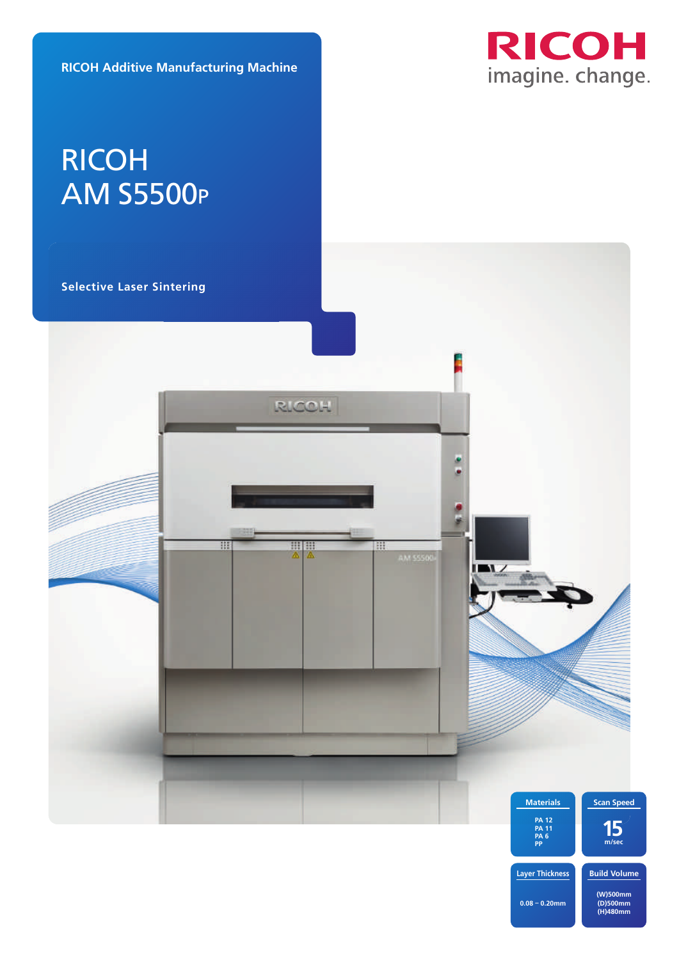**RICOH Additive Manufacturing Machine**



# RICOH AM S5500P

**Selective Laser Sintering** 



**Build Volume (W)500mm (D)500mm (H)480mm Layer Thickness 0.08 – 0.20mm**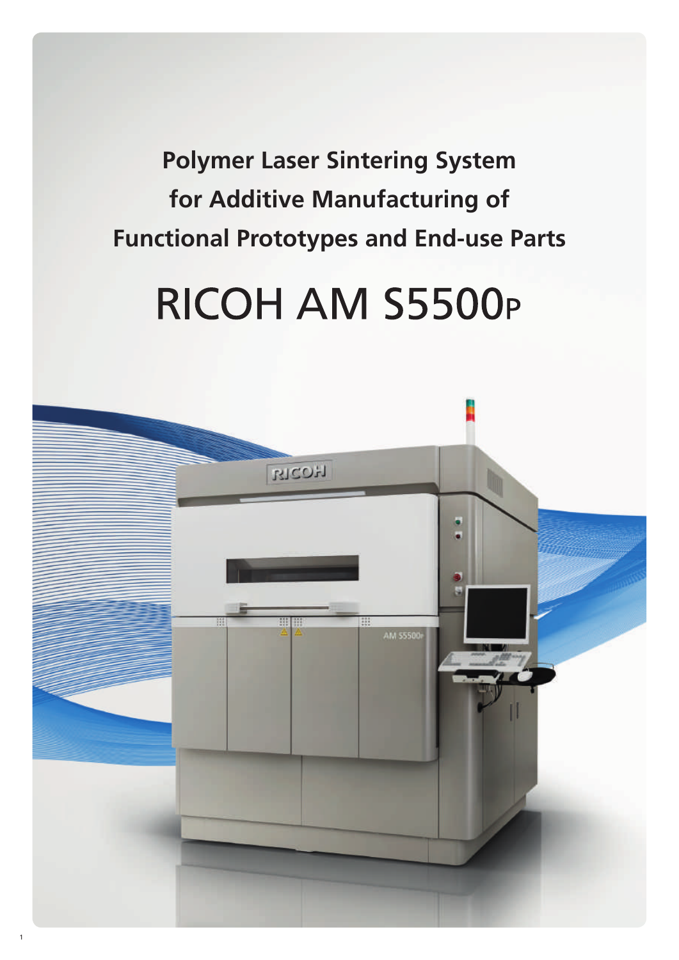**Polymer Laser Sintering System for Additive Manufacturing of Functional Prototypes and End-use Parts**

# RICOH AM S5500P

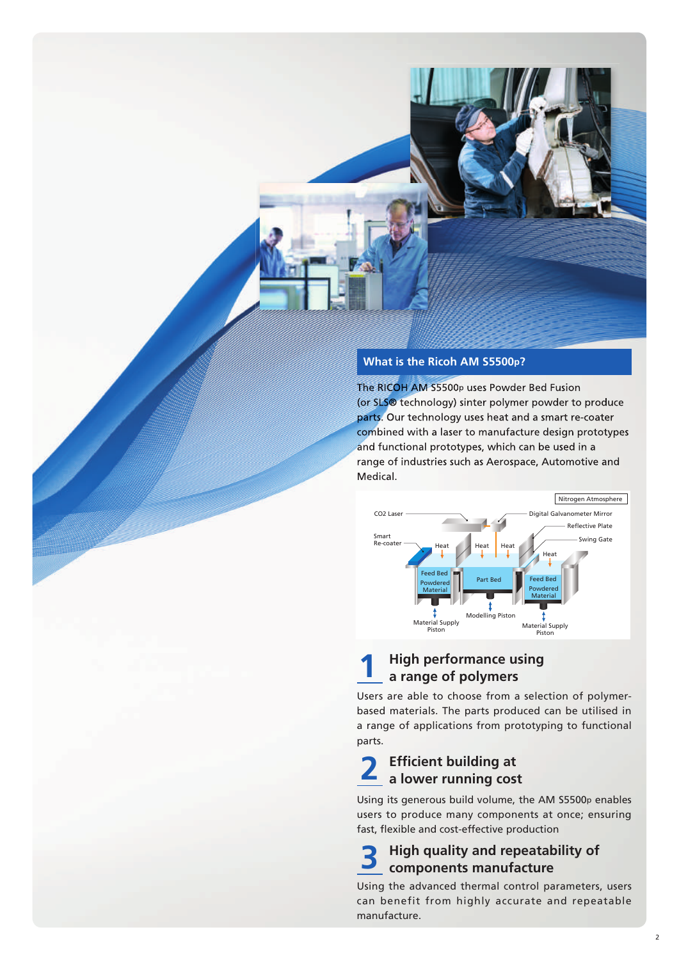

#### **What is the Ricoh AM S5500p?**

The RICOH AM S5500p uses Powder Bed Fusion (or SLS® technology) sinter polymer powder to produce parts. Our technology uses heat and a smart re-coater combined with a laser to manufacture design prototypes and functional prototypes, which can be used in a range of industries such as Aerospace, Automotive and Medical.



#### **High performance using a range of polymers 1**

Users are able to choose from a selection of polymerbased materials. The parts produced can be utilised in a range of applications from prototyping to functional parts.

#### **Efficient building at a lower running cost 2**

Using its generous build volume, the AM S5500p enables users to produce many components at once; ensuring fast, flexible and cost-effective production

#### **High quality and repeatability of components manufacture 3**

Using the advanced thermal control parameters, users can benefit from highly accurate and repeatable manufacture.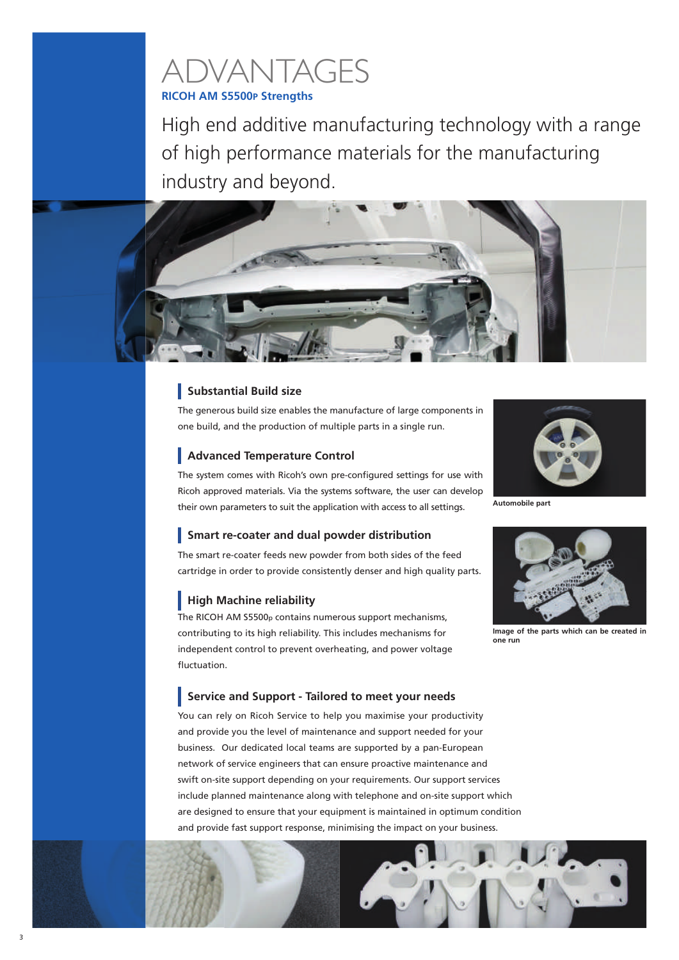## **RICOH AM S5500P Strengths** ADVANTAGES

High end additive manufacturing technology with a range of high performance materials for the manufacturing industry and beyond.



### **Substantial Build size**

The generous build size enables the manufacture of large components in one build, and the production of multiple parts in a single run.

The system comes with Ricoh's own pre-configured settings for use with

their own parameters to suit the application with access to all settings.

### **Advanced Temperature Control**



Ricoh approved materials. Via the systems software, the user can develop **Automobile part**

## **Smart re-coater and dual powder distribution**

The smart re-coater feeds new powder from both sides of the feed cartridge in order to provide consistently denser and high quality parts.

### **High Machine reliability**

The RICOH AM S5500p contains numerous support mechanisms, contributing to its high reliability. This includes mechanisms for independent control to prevent overheating, and power voltage fluctuation.

**Image of the parts which can be created in one run**

#### **Service and Support - Tailored to meet your needs**

You can rely on Ricoh Service to help you maximise your productivity and provide you the level of maintenance and support needed for your business. Our dedicated local teams are supported by a pan-European network of service engineers that can ensure proactive maintenance and swift on-site support depending on your requirements. Our support services include planned maintenance along with telephone and on-site support which are designed to ensure that your equipment is maintained in optimum condition and provide fast support response, minimising the impact on your business.

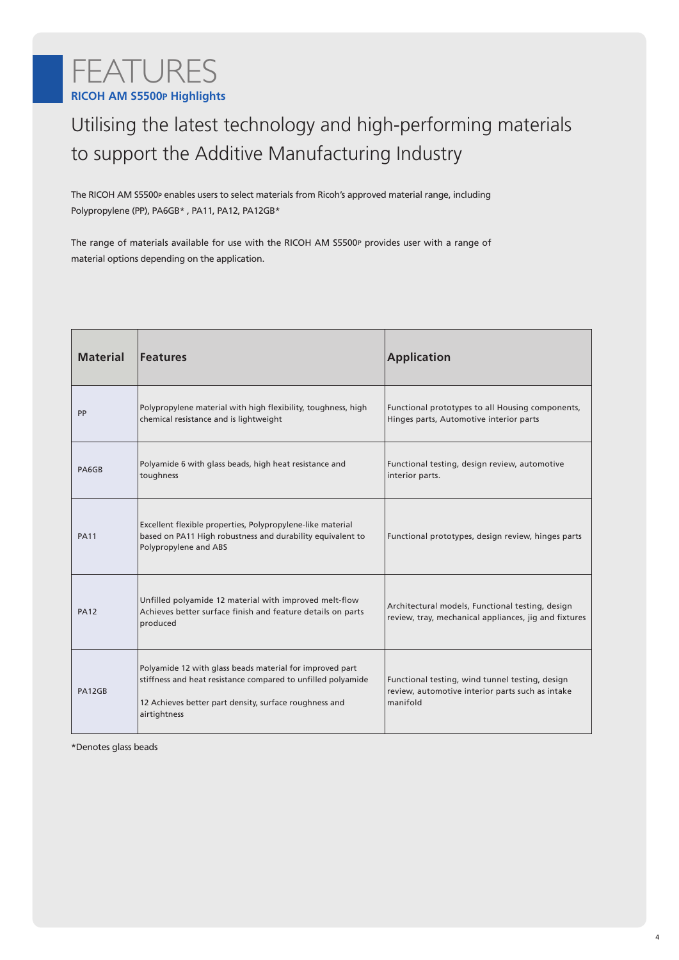## **RICOH AM S5500P Highlights** FEATURES

## Utilising the latest technology and high-performing materials to support the Additive Manufacturing Industry

The RICOH AM S5500P enables users to select materials from Ricoh's approved material range, including Polypropylene (PP), PA6GB\* , PA11, PA12, PA12GB\*

The range of materials available for use with the RICOH AM S5500P provides user with a range of material options depending on the application.

| <b>Material</b> | <b>Features</b>                                                                                                                                                                                    | <b>Application</b>                                                                                              |
|-----------------|----------------------------------------------------------------------------------------------------------------------------------------------------------------------------------------------------|-----------------------------------------------------------------------------------------------------------------|
| PP              | Polypropylene material with high flexibility, toughness, high<br>chemical resistance and is lightweight                                                                                            | Functional prototypes to all Housing components,<br>Hinges parts, Automotive interior parts                     |
| PA6GB           | Polyamide 6 with glass beads, high heat resistance and<br>toughness                                                                                                                                | Functional testing, design review, automotive<br>interior parts.                                                |
| <b>PA11</b>     | Excellent flexible properties, Polypropylene-like material<br>based on PA11 High robustness and durability equivalent to<br>Polypropylene and ABS                                                  | Functional prototypes, design review, hinges parts                                                              |
| <b>PA12</b>     | Unfilled polyamide 12 material with improved melt-flow<br>Achieves better surface finish and feature details on parts<br>produced                                                                  | Architectural models, Functional testing, design<br>review, tray, mechanical appliances, jig and fixtures       |
| PA12GB          | Polyamide 12 with glass beads material for improved part<br>stiffness and heat resistance compared to unfilled polyamide<br>12 Achieves better part density, surface roughness and<br>airtightness | Functional testing, wind tunnel testing, design<br>review, automotive interior parts such as intake<br>manifold |

\*Denotes glass beads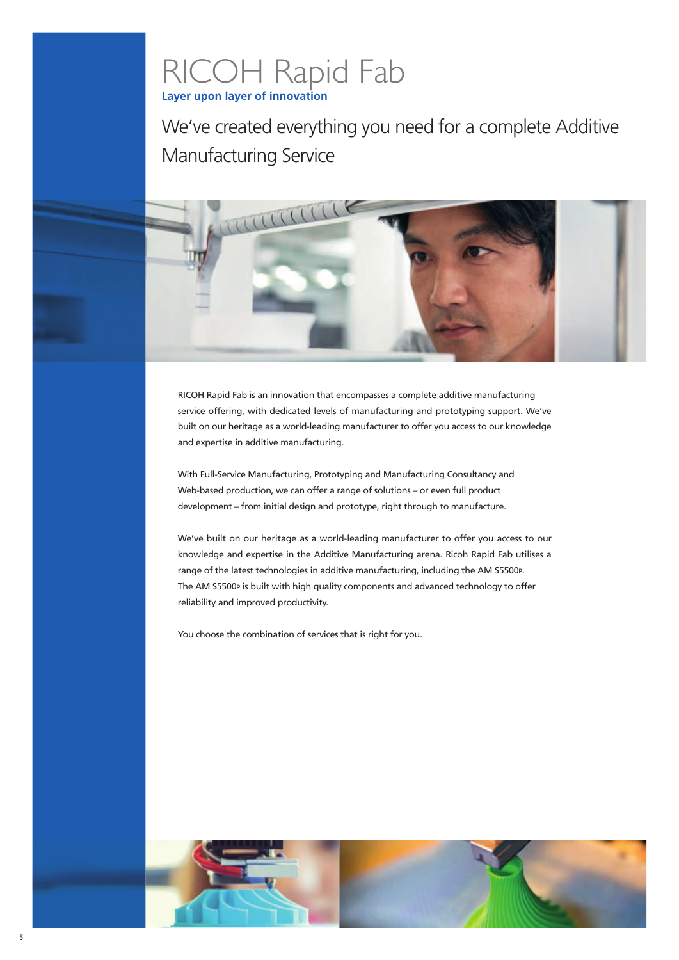## **Layer upon layer of innovation** RICOH Rapid Fab

We've created everything you need for a complete Additive Manufacturing Service

RICOH Rapid Fab is an innovation that encompasses a complete additive manufacturing service offering, with dedicated levels of manufacturing and prototyping support. We've built on our heritage as a world-leading manufacturer to offer you access to our knowledge and expertise in additive manufacturing.

With Full-Service Manufacturing, Prototyping and Manufacturing Consultancy and Web-based production, we can offer a range of solutions – or even full product development – from initial design and prototype, right through to manufacture.

We've built on our heritage as a world-leading manufacturer to offer you access to our knowledge and expertise in the Additive Manufacturing arena. Ricoh Rapid Fab utilises a range of the latest technologies in additive manufacturing, including the AM S5500P. The AM S5500P is built with high quality components and advanced technology to offer reliability and improved productivity.

You choose the combination of services that is right for you.

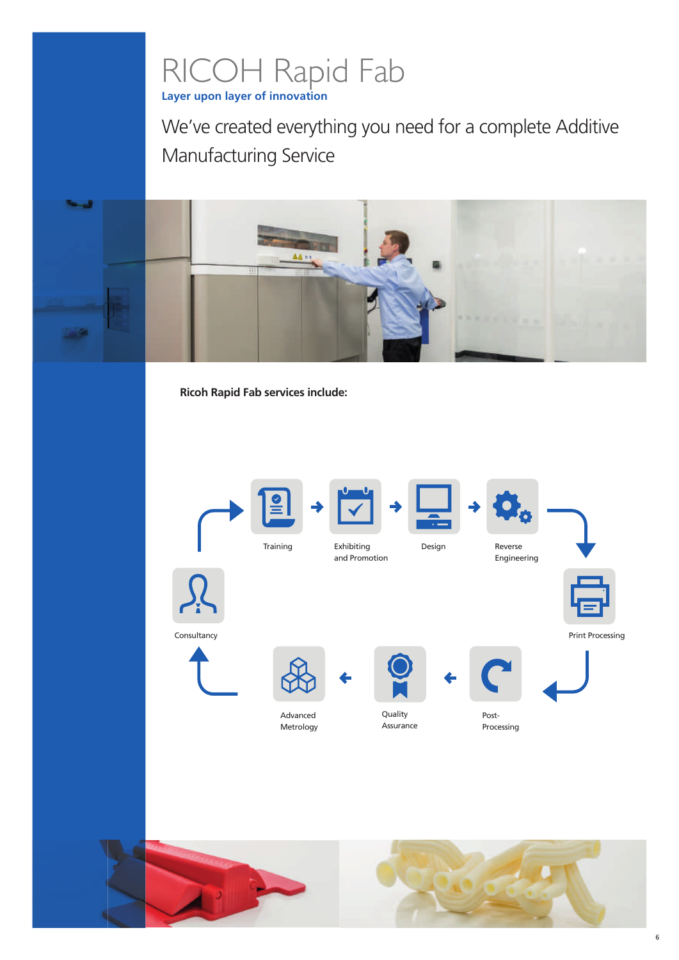## **Layer upon layer of innovation** RICOH Rapid Fab

We've created everything you need for a complete Additive Manufacturing Service



**Ricoh Rapid Fab services include:**